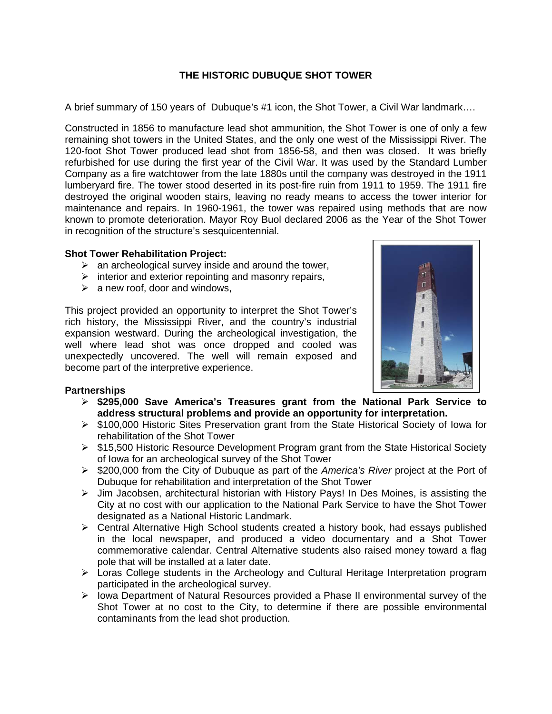## **THE HISTORIC DUBUQUE SHOT TOWER**

A brief summary of 150 years of Dubuque's #1 icon, the Shot Tower, a Civil War landmark….

Constructed in 1856 to manufacture lead shot ammunition, the Shot Tower is one of only a few remaining shot towers in the United States, and the only one west of the Mississippi River. The 120-foot Shot Tower produced lead shot from 1856-58, and then was closed. It was briefly refurbished for use during the first year of the Civil War. It was used by the Standard Lumber Company as a fire watchtower from the late 1880s until the company was destroyed in the 1911 lumberyard fire. The tower stood deserted in its post-fire ruin from 1911 to 1959. The 1911 fire destroyed the original wooden stairs, leaving no ready means to access the tower interior for maintenance and repairs. In 1960-1961, the tower was repaired using methods that are now known to promote deterioration. Mayor Roy Buol declared 2006 as the Year of the Shot Tower in recognition of the structure's sesquicentennial.

## **Shot Tower Rehabilitation Project:**

- $\triangleright$  an archeological survey inside and around the tower,
- $\triangleright$  interior and exterior repointing and masonry repairs,
- $\triangleright$  a new roof, door and windows,

This project provided an opportunity to interpret the Shot Tower's rich history, the Mississippi River, and the country's industrial expansion westward. During the archeological investigation, the well where lead shot was once dropped and cooled was unexpectedly uncovered. The well will remain exposed and become part of the interpretive experience.

## **Partnerships**

- **\$295,000 Save America's Treasures grant from the National Park Service to address structural problems and provide an opportunity for interpretation.**
- $\triangleright$  \$100,000 Historic Sites Preservation grant from the State Historical Society of Iowa for rehabilitation of the Shot Tower
- $\triangleright$  \$15,500 Historic Resource Development Program grant from the State Historical Society of Iowa for an archeological survey of the Shot Tower
- \$200,000 from the City of Dubuque as part of the *America's River* project at the Port of Dubuque for rehabilitation and interpretation of the Shot Tower
- $\triangleright$  Jim Jacobsen, architectural historian with History Pays! In Des Moines, is assisting the City at no cost with our application to the National Park Service to have the Shot Tower designated as a National Historic Landmark.
- $\triangleright$  Central Alternative High School students created a history book, had essays published in the local newspaper, and produced a video documentary and a Shot Tower commemorative calendar. Central Alternative students also raised money toward a flag pole that will be installed at a later date.
- $\triangleright$  Loras College students in the Archeology and Cultural Heritage Interpretation program participated in the archeological survey.
- $\triangleright$  lowa Department of Natural Resources provided a Phase II environmental survey of the Shot Tower at no cost to the City, to determine if there are possible environmental contaminants from the lead shot production.

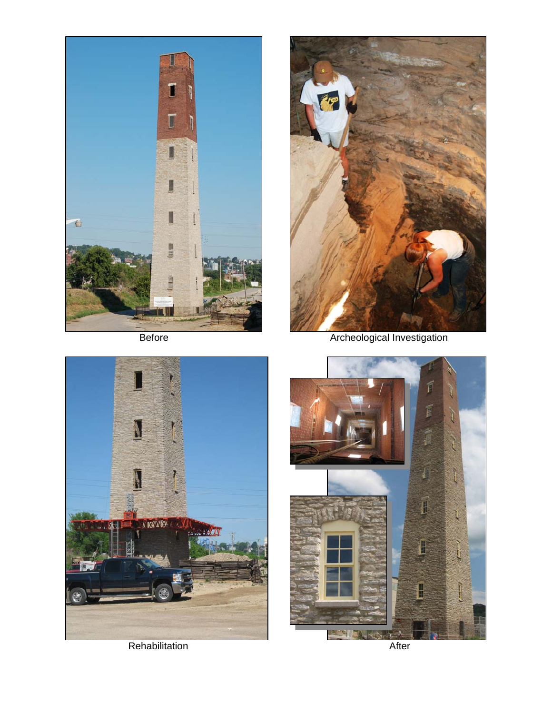



Before **Archeological Investigation**